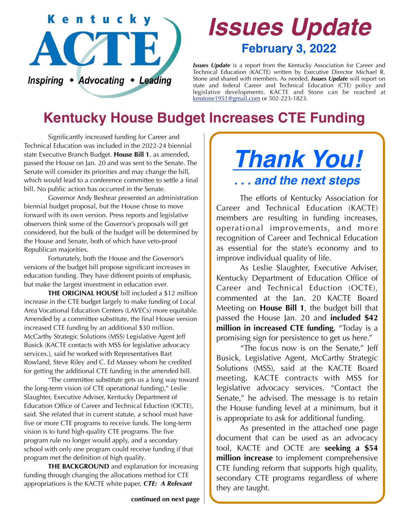

# *Issues Update* **February 3, 2022**

*Issues Update* is a report from the Kentucky Association for Career and Technical Education (KACTE) written by Executive Director Michael R. Stone and shared with members. As needed, *Issues Update* will report on state and federal Career and Technical Education (CTE) policy and legislative developments. KACTE and Stone can be reached at [kmstone1951@gmail.com](mailto:kmstone1951@gmail.com) or 502-223-1823.

# **Kentucky House Budget Increases CTE Funding**

 Significantly increased funding for Career and Technical Education was included in the 2022-24 biennial state Executive Branch Budget. **House Bill 1**, as amended, passed the House on Jan. 20 and was sent to the Senate. The Senate will consider its priorities and may change the bill, which would lead to a conference committee to settle a final bill. No public action has occurred in the Senate.

 Governor Andy Beshear presented an administration biennial budget proposal, but the House chose to move forward with its own version. Press reports and legislative observers think some of the Governor's proposals will get considered, but the bulk of the budget will be determined by the House and Senate, both of which have veto-proof Republican majorities.

 Fortunately, both the House and the Governor's versions of the budget bill propose significant increases in education funding. They have different points of emphasis, but make the largest investment in education ever.

**THE ORIGINAL HOUSE** bill included a \$12 million increase in the CTE budget largely to make funding of Local Area Vocational Education Centers (LAVECs) more equitable. Amended by a committee substitute, the final House version increased CTE funding by an additional \$30 million. McCarthy Strategic Solutions (MSS) Legislative Agent Jeff Busick (KACTE contacts with MSS for legislative advocacy services.), said he worked with Representatives Bart Rowland, Steve Riley and C. Ed Massey whom he credited for getting the additional CTE funding in the amended bill.

 "The committee substitute gets us a long way toward the long-term vision (of CTE operational funding)," Leslie Slaughter, Executive Adviser, Kentucky Department of Education Office of Career and Technical Eduction (OCTE), said. She related that in current statute, a school must have five or more CTE programs to receive funds. The long-term vision is to fund high-quality CTE programs. The five program rule no longer would apply, and a secondary school with only one program could receive funding if that program met the definition of high quality.

**THE BACKGROUND** and explanation for increasing funding through changing the allocations method for CTE appropriations is the KACTE white paper, *CTE: A Relevant* 

# *Thank You! . . . and the next steps*

 The efforts of Kentucky Association for Career and Technical Education (KACTE) members are resulting in funding increases, operational improvements, and more recognition of Career and Technical Education as essential for the state's economy and to improve individual quality of life.

 As Leslie Slaughter, Executive Adviser, Kentucky Department of Education Office of Career and Technical Eduction (OCTE), commented at the Jan. 20 KACTE Board Meeting on **House Bill 1**, the budget bill that passed the House Jan. 20 and **included \$42 million in increased CTE funding**, "Today is a promising sign for persistence to get us here."

 "The focus now is on the Senate," Jeff Busick, Legislative Agent, McCarthy Strategic Solutions (MSS), said at the KACTE Board meeting. KACTE contracts with MSS for legislative advocacy services. "Contact the Senate," he advised. The message is to retain the House funding level at a minimum, but it is appropriate to ask for additional funding.

 As presented in the attached one page document that can be used as an advocacy tool, KACTE and OCTE are **seeking a \$54 million increase** to implement comprehensive CTE funding reform that supports high quality, secondary CTE programs regardless of where they are taught.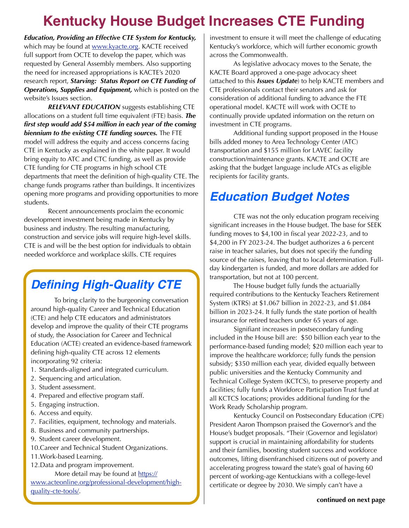## **Kentucky House Budget Increases CTE Funding**

*Education, Providing an Effective CTE System for Kentucky,* which may be found at [www.kyacte.org.](http://www.kyacte.org) KACTE received full support from OCTE to develop the paper, which was requested by General Assembly members. Also supporting the need for increased appropriations is KACTE's 2020 research report, *Starving: Status Report on CTE Funding of Operations, Supplies and Equipment,* which is posted on the website's Issues section.

*RELEVANT EDUCATION* suggests establishing CTE allocations on a student full time equivalent (FTE) basis. *The first step would add \$54 million in each year of the coming biennium to the existing CTE funding sources.* The FTE model will address the equity and access concerns facing CTE in Kentucky as explained in the white paper. It would bring equity to ATC and CTC funding, as well as provide CTE funding for CTE programs in high school CTE departments that meet the definition of high-quality CTE. The change funds programs rather than buildings. It incentivizes opening more programs and providing opportunities to more students.

 Recent announcements proclaim the economic development investment being made in Kentucky by business and industry. The resulting manufacturing, construction and service jobs will require high-level skills. CTE is and will be the best option for individuals to obtain needed workforce and workplace skills. CTE requires

## *Defining High-Quality CTE*

 To bring clarity to the burgeoning conversation around high-quality Career and Technical Education (CTE) and help CTE educators and administrators develop and improve the quality of their CTE programs of study, the Association for Career and Technical Education (ACTE) created an evidence-based framework defining high-quality CTE across 12 elements incorporating 92 criteria:

- 1. Standards-aligned and integrated curriculum.
- 2. Sequencing and articulation.
- 3. Student assessment.
- 4. Prepared and effective program staff.
- 5. Engaging instruction.
- 6. Access and equity.
- 7. Facilities, equipment, technology and materials.
- 8. Business and community partnerships.
- 9. Student career development.
- 10.Career and Technical Student Organizations.
- 11.Work-based Learning.
- 12.Data and program improvement.

More detail may be found at https://

www.acteonline.org/professional-development/highquality-cte-tools/.

investment to ensure it will meet the challenge of educating Kentucky's workforce, which will further economic growth across the Commonwealth.

 As legislative advocacy moves to the Senate, the KACTE Board approved a one-page advocacy sheet (attached to this *Issues Update*) to help KACTE members and CTE professionals contact their senators and ask for consideration of additional funding to advance the FTE operational model. KACTE will work with OCTE to continually provide updated information on the return on investment in CTE programs.

 Additional funding support proposed in the House bills added money to Area Technology Center (ATC) transportation and \$155 million for LAVEC facility construction/maintenance grants. KACTE and OCTE are asking that the budget language include ATCs as eligible recipients for facility grants.

#### *Education Budget Notes*

 CTE was not the only education program receiving significant increases in the House budget. The base for SEEK funding moves to \$4,100 in fiscal year 2022-23, and to \$4,200 in FY 2023-24. The budget authorizes a 6 percent raise in teacher salaries, but does not specify the funding source of the raises, leaving that to local determination. Fullday kindergarten is funded, and more dollars are added for transportation, but not at 100 percent.

 The House budget fully funds the actuarially required contributions to the Kentucky Teachers Retirement System (KTRS) at \$1.067 billion in 2022-23, and \$1.084 billion in 2023-24. It fully funds the state portion of health insurance for retired teachers under 65 years of age.

 Signifiant increases in postsecondary funding included in the House bill are: \$50 billion each year to the performance-based funding model; \$20 million each year to improve the healthcare workforce; fully funds the pension subsidy; \$350 million each year, divided equally between public universities and the Kentucky Community and Technical College System (KCTCS), to preserve property and facilities; fully funds a Workforce Participation Trust fund at all KCTCS locations; provides additional funding for the Work Ready Scholarship program.

 Kentucky Council on Postsecondary Education (CPE) President Aaron Thompson praised the Governor's and the House's budget proposals. "Their (Governor and legislator) support is crucial in maintaining affordability for students and their families, boosting student success and workforce outcomes, lifting disenfranchised citizens out of poverty and accelerating progress toward the state's goal of having 60 percent of working-age Kentuckians with a college-level certificate or degree by 2030. We simply can't have a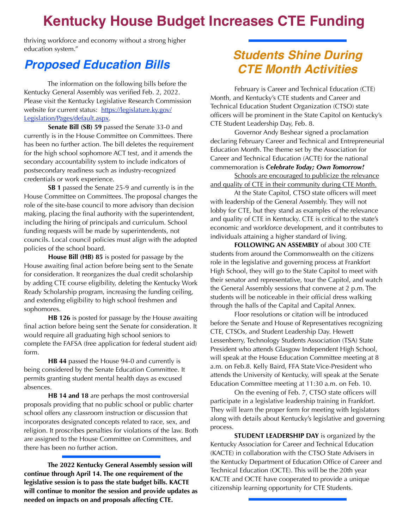### **Kentucky House Budget Increases CTE Funding**

thriving workforce and economy without a strong higher education system."

#### *Proposed Education Bills*

 The information on the following bills before the Kentucky General Assembly was verified Feb. 2, 2022. Please visit the Kentucky Legislative Research Commission website for current status: [https://legislature.ky.gov/](https://legislature.ky.gov/Legislation/Pages/default.aspx) [Legislation/Pages/default.aspx.](https://legislature.ky.gov/Legislation/Pages/default.aspx)

**Senate Bill (SB) 59** passed the Senate 33-0 and currently is in the House Committee on Committees. There has been no further action. The bill deletes the requirement for the high school sophomore ACT test, and it amends the secondary accountability system to include indicators of postsecondary readiness such as industry-recognized credentials or work experience.

**SB 1** passed the Senate 25-9 and currently is in the House Committee on Committees. The proposal changes the role of the site-base council to more advisory than decision making, placing the final authority with the superintendent, including the hiring of principals and curriculum. School funding requests will be made by superintendents, not councils. Local council policies must align with the adopted policies of the school board.

**House Bill (HB) 85** is posted for passage by the House awaiting final action before being sent to the Senate for consideration. It reorganizes the dual credit scholarship by adding CTE course eligibility, deleting the Kentucky Work Ready Scholarship program, increasing the funding ceiling, and extending eligibility to high school freshmen and sophomores.

**HB 126** is posted for passage by the House awaiting final action before being sent the Senate for consideration. It would require all graduating high school seniors to complete the FAFSA (free application for federal student aid) form.

**HB 44** passed the House 94-0 and currently is being considered by the Senate Education Committee. It permits granting student mental health days as excused absences.

**HB 14 and 18** are perhaps the most controversial proposals providing that no public school or public charter school offers any classroom instruction or discussion that incorporates designated concepts related to race, sex, and religion. It proscribes penalties for violations of the law. Both are assigned to the House Committee on Committees, and there has been no further action.

 **The 2022 Kentucky General Assembly session will continue through April 14. The one requirement of the legislative session is to pass the state budget bills. KACTE will continue to monitor the session and provide updates as needed on impacts on and proposals affecting CTE.**

#### *Students Shine During CTE Month Activities*

 February is Career and Technical Education (CTE) Month, and Kentucky's CTE students and Career and Technical Education Student Organization (CTSO) state officers will be prominent in the State Capitol on Kentucky's CTE Student Leadership Day, Feb. 8.

 Governor Andy Beshear signed a proclamation declaring February Career and Technical and Entrepreneurial Education Month. The theme set by the Association for Career and Technical Education (ACTE) for the national commemoration is *Celebrate Today; Own Tomorrow!*

Schools are encouraged to publicize the relevance and quality of CTE in their community during CTE Month.

 At the State Capitol, CTSO state officers will meet with leadership of the General Assembly. They will not lobby for CTE, but they stand as examples of the relevance and quality of CTE in Kentucky. CTE is critical to the state's economic and workforce development, and it contributes to individuals attaining a higher standard of living.

**FOLLOWING AN ASSEMBLY** of about 300 CTE students from around the Commonwealth on the citizens role in the legislative and governing process at Frankfort High School, they will go to the State Capitol to meet with their senator and representative, tour the Capitol, and watch the General Assembly sessions that convene at 2 p.m. The students will be noticeable in their official dress walking through the halls of the Capital and Capital Annex.

 Floor resolutions or citation will be introduced before the Senate and House of Representatives recognizing CTE, CTSOs, and Student Leadership Day. Hewett Lessenberry, Technology Students Association (TSA) State President who attends Glasgow Independent High School, will speak at the House Education Committee meeting at 8 a.m. on Feb.8. Kelly Baird, FFA State Vice-President who attends the University of Kentucky, will speak at the Senate Education Committee meeting at 11:30 a.m. on Feb. 10.

 On the evening of Feb. 7, CTSO state officers will participate in a legislative leadership training in Frankfort. They will learn the proper form for meeting with legislators along with details about Kentucky's legislative and governing process.

**STUDENT LEADERSHIP DAY** is organized by the Kentucky Association for Career and Technical Education (KACTE) in collaboration with the CTSO State Advisers in the Kentucky Department of Education Office of Career and Technical Education (OCTE). This will be the 20th year KACTE and OCTE have cooperated to provide a unique citizenship learning opportunity for CTE Students.